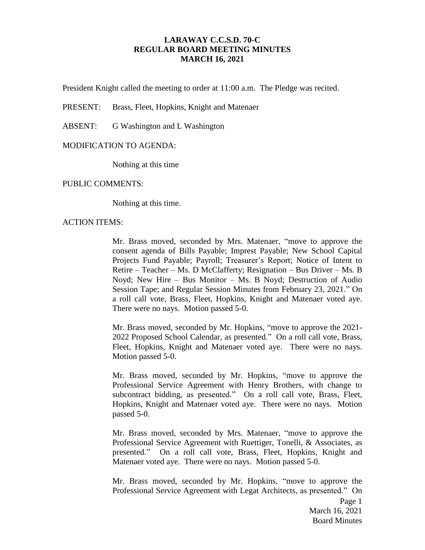# **LARAWAY C.C.S.D. 70-C REGULAR BOARD MEETING MINUTES MARCH 16, 2021**

President Knight called the meeting to order at 11:00 a.m. The Pledge was recited.

PRESENT: Brass, Fleet, Hopkins, Knight and Matenaer

ABSENT: G Washington and L Washington

## MODIFICATION TO AGENDA:

Nothing at this time

PUBLIC COMMENTS:

Nothing at this time.

ACTION ITEMS:

Mr. Brass moved, seconded by Mrs. Matenaer, "move to approve the consent agenda of Bills Payable; Imprest Payable; New School Capital Projects Fund Payable; Payroll; Treasurer's Report; Notice of Intent to Retire – Teacher – Ms. D McClafferty; Resignation – Bus Driver – Ms. B Noyd; New Hire – Bus Monitor – Ms. B Noyd; Destruction of Audio Session Tape; and Regular Session Minutes from February 23, 2021." On a roll call vote, Brass, Fleet, Hopkins, Knight and Matenaer voted aye. There were no nays. Motion passed 5-0.

Mr. Brass moved, seconded by Mr. Hopkins, "move to approve the 2021- 2022 Proposed School Calendar, as presented." On a roll call vote, Brass, Fleet, Hopkins, Knight and Matenaer voted aye. There were no nays. Motion passed 5-0.

Mr. Brass moved, seconded by Mr. Hopkins, "move to approve the Professional Service Agreement with Henry Brothers, with change to subcontract bidding, as presented." On a roll call vote, Brass, Fleet, Hopkins, Knight and Matenaer voted aye. There were no nays. Motion passed 5-0.

Mr. Brass moved, seconded by Mrs. Matenaer, "move to approve the Professional Service Agreement with Ruettiger, Tonelli, & Associates, as presented." On a roll call vote, Brass, Fleet, Hopkins, Knight and Matenaer voted aye. There were no nays. Motion passed 5-0.

Mr. Brass moved, seconded by Mr. Hopkins, "move to approve the Professional Service Agreement with Legat Architects, as presented." On

> Page 1 March 16, 2021 Board Minutes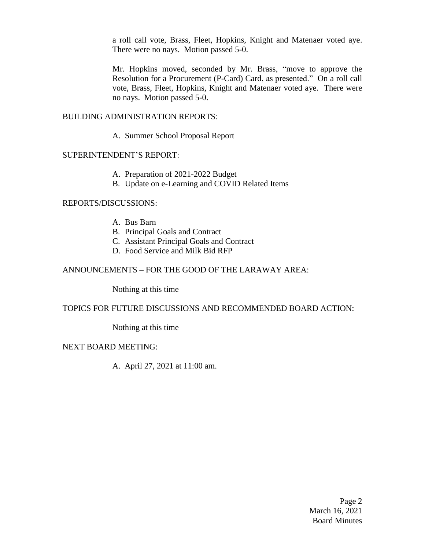a roll call vote, Brass, Fleet, Hopkins, Knight and Matenaer voted aye. There were no nays. Motion passed 5-0.

Mr. Hopkins moved, seconded by Mr. Brass, "move to approve the Resolution for a Procurement (P-Card) Card, as presented." On a roll call vote, Brass, Fleet, Hopkins, Knight and Matenaer voted aye. There were no nays. Motion passed 5-0.

BUILDING ADMINISTRATION REPORTS:

A. Summer School Proposal Report

## SUPERINTENDENT'S REPORT:

- A. Preparation of 2021-2022 Budget
- B. Update on e-Learning and COVID Related Items

## REPORTS/DISCUSSIONS:

- A. Bus Barn
- B. Principal Goals and Contract
- C. Assistant Principal Goals and Contract
- D. Food Service and Milk Bid RFP

## ANNOUNCEMENTS – FOR THE GOOD OF THE LARAWAY AREA:

Nothing at this time

#### TOPICS FOR FUTURE DISCUSSIONS AND RECOMMENDED BOARD ACTION:

Nothing at this time

#### NEXT BOARD MEETING:

A. April 27, 2021 at 11:00 am.

Page 2 March 16, 2021 Board Minutes